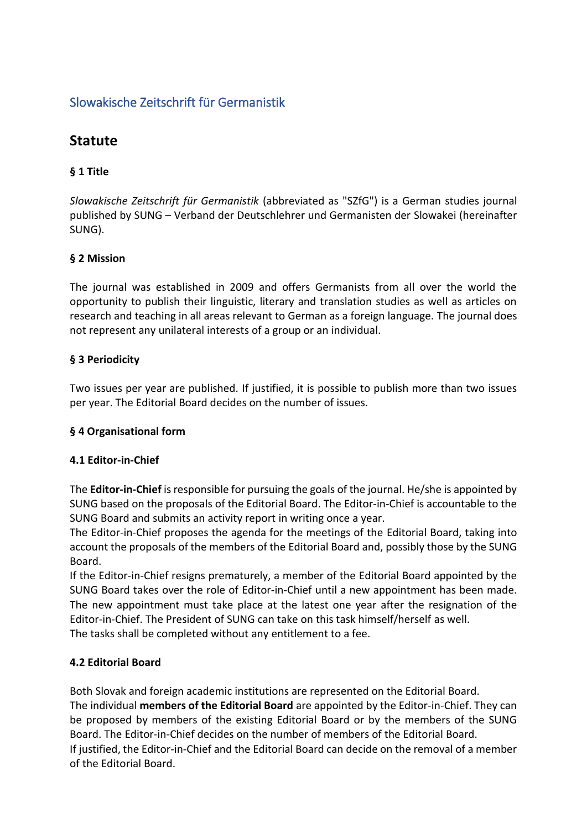# Slowakische Zeitschrift für Germanistik

# **Statute**

# **§ 1 Title**

*Slowakische Zeitschrift für Germanistik* (abbreviated as "SZfG") is a German studies journal published by SUNG – Verband der Deutschlehrer und Germanisten der Slowakei (hereinafter SUNG).

## **§ 2 Mission**

The journal was established in 2009 and offers Germanists from all over the world the opportunity to publish their linguistic, literary and translation studies as well as articles on research and teaching in all areas relevant to German as a foreign language. The journal does not represent any unilateral interests of a group or an individual.

## **§ 3 Periodicity**

Two issues per year are published. If justified, it is possible to publish more than two issues per year. The Editorial Board decides on the number of issues.

#### **§ 4 Organisational form**

#### **4.1 Editor-in-Chief**

The **Editor-in-Chief** is responsible for pursuing the goals of the journal. He/she is appointed by SUNG based on the proposals of the Editorial Board. The Editor-in-Chief is accountable to the SUNG Board and submits an activity report in writing once a year.

The Editor-in-Chief proposes the agenda for the meetings of the Editorial Board, taking into account the proposals of the members of the Editorial Board and, possibly those by the SUNG Board.

If the Editor-in-Chief resigns prematurely, a member of the Editorial Board appointed by the SUNG Board takes over the role of Editor-in-Chief until a new appointment has been made. The new appointment must take place at the latest one year after the resignation of the Editor-in-Chief. The President of SUNG can take on this task himself/herself as well. The tasks shall be completed without any entitlement to a fee.

#### **4.2 Editorial Board**

Both Slovak and foreign academic institutions are represented on the Editorial Board. The individual **members of the Editorial Board** are appointed by the Editor-in-Chief. They can be proposed by members of the existing Editorial Board or by the members of the SUNG Board. The Editor-in-Chief decides on the number of members of the Editorial Board. If justified, the Editor-in-Chief and the Editorial Board can decide on the removal of a member of the Editorial Board.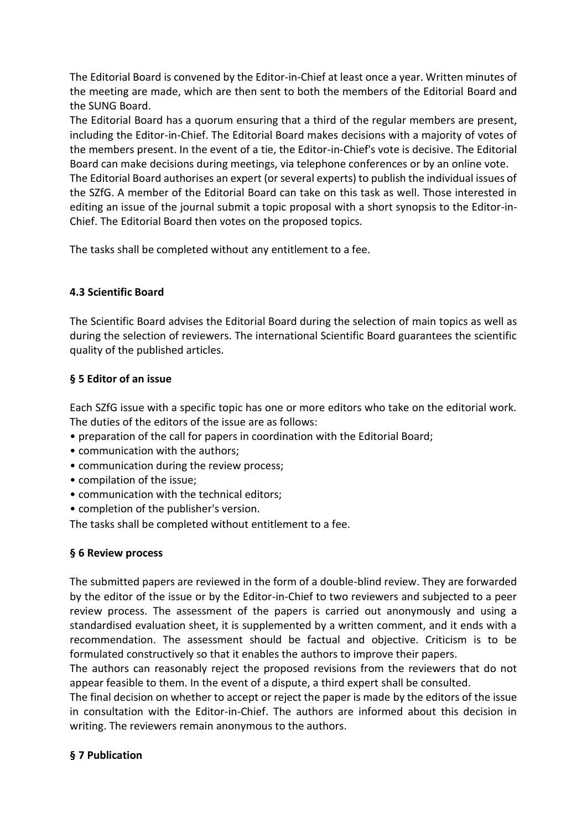The Editorial Board is convened by the Editor-in-Chief at least once a year. Written minutes of the meeting are made, which are then sent to both the members of the Editorial Board and the SUNG Board.

The Editorial Board has a quorum ensuring that a third of the regular members are present, including the Editor-in-Chief. The Editorial Board makes decisions with a majority of votes of the members present. In the event of a tie, the Editor-in-Chief's vote is decisive. The Editorial Board can make decisions during meetings, via telephone conferences or by an online vote. The Editorial Board authorises an expert (or several experts) to publish the individual issues of the SZfG. A member of the Editorial Board can take on this task as well. Those interested in editing an issue of the journal submit a topic proposal with a short synopsis to the Editor-in-Chief. The Editorial Board then votes on the proposed topics.

The tasks shall be completed without any entitlement to a fee.

## **4.3 Scientific Board**

The Scientific Board advises the Editorial Board during the selection of main topics as well as during the selection of reviewers. The international Scientific Board guarantees the scientific quality of the published articles.

## **§ 5 Editor of an issue**

Each SZfG issue with a specific topic has one or more editors who take on the editorial work. The duties of the editors of the issue are as follows:

- preparation of the call for papers in coordination with the Editorial Board;
- communication with the authors;
- communication during the review process;
- compilation of the issue;
- communication with the technical editors;
- completion of the publisher's version.

The tasks shall be completed without entitlement to a fee.

#### **§ 6 Review process**

The submitted papers are reviewed in the form of a double-blind review. They are forwarded by the editor of the issue or by the Editor-in-Chief to two reviewers and subjected to a peer review process. The assessment of the papers is carried out anonymously and using a standardised evaluation sheet, it is supplemented by a written comment, and it ends with a recommendation. The assessment should be factual and objective. Criticism is to be formulated constructively so that it enables the authors to improve their papers.

The authors can reasonably reject the proposed revisions from the reviewers that do not appear feasible to them. In the event of a dispute, a third expert shall be consulted.

The final decision on whether to accept or reject the paper is made by the editors of the issue in consultation with the Editor-in-Chief. The authors are informed about this decision in writing. The reviewers remain anonymous to the authors.

#### **§ 7 Publication**